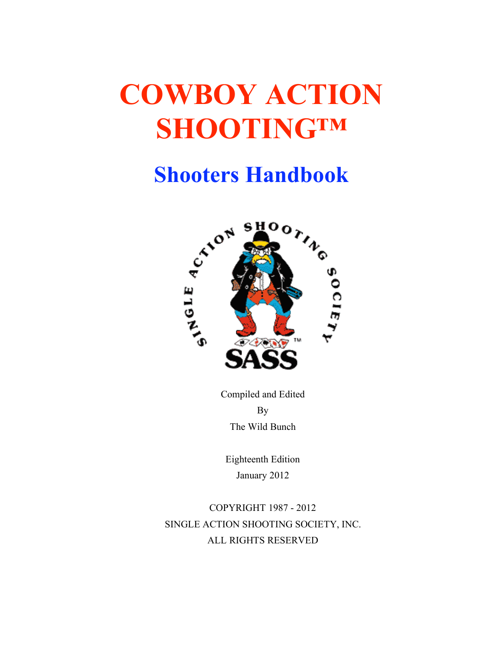# **COWBOY ACTION SHOOTING™**

## **Shooters Handbook**



Compiled and Edited By The Wild Bunch

Eighteenth Edition January 2012

COPYRIGHT 1987 - 2012 SINGLE ACTION SHOOTING SOCIETY, INC. ALL RIGHTS RESERVED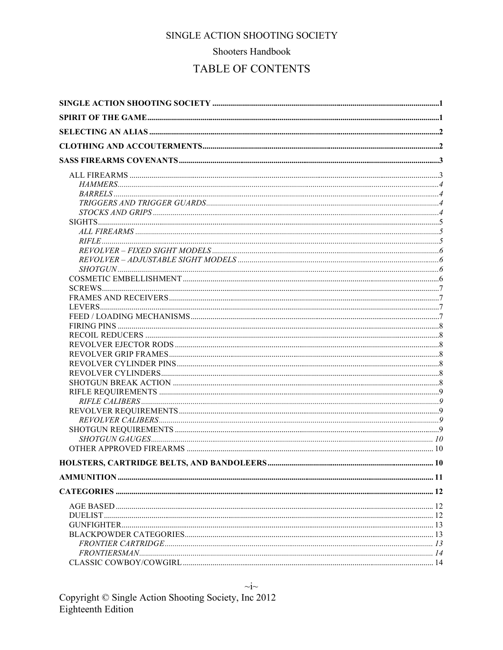#### Shooters Handbook

## TABLE OF CONTENTS

 $\sim j \sim$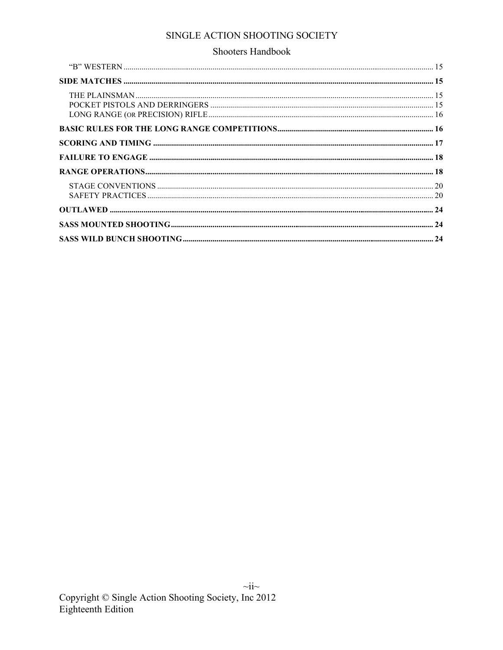#### Shooters Handbook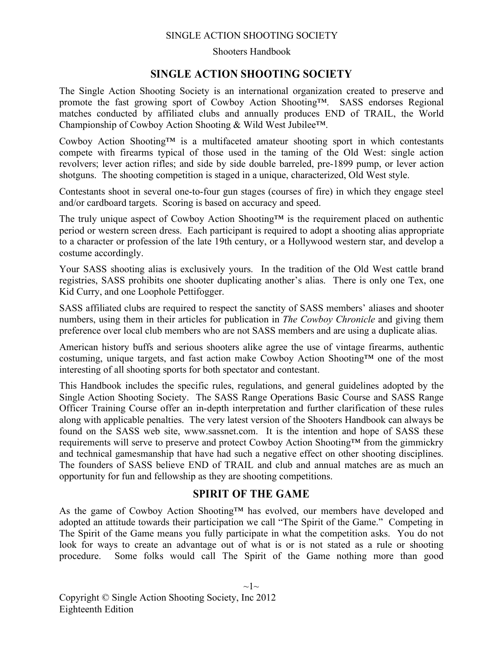#### Shooters Handbook

## **SINGLE ACTION SHOOTING SOCIETY**

The Single Action Shooting Society is an international organization created to preserve and promote the fast growing sport of Cowboy Action Shooting™. SASS endorses Regional matches conducted by affiliated clubs and annually produces END of TRAIL, the World Championship of Cowboy Action Shooting & Wild West Jubilee™.

Cowboy Action Shooting™ is a multifaceted amateur shooting sport in which contestants compete with firearms typical of those used in the taming of the Old West: single action revolvers; lever action rifles; and side by side double barreled, pre-1899 pump, or lever action shotguns. The shooting competition is staged in a unique, characterized, Old West style.

Contestants shoot in several one-to-four gun stages (courses of fire) in which they engage steel and/or cardboard targets. Scoring is based on accuracy and speed.

The truly unique aspect of Cowboy Action Shooting™ is the requirement placed on authentic period or western screen dress. Each participant is required to adopt a shooting alias appropriate to a character or profession of the late 19th century, or a Hollywood western star, and develop a costume accordingly.

Your SASS shooting alias is exclusively yours. In the tradition of the Old West cattle brand registries, SASS prohibits one shooter duplicating another's alias. There is only one Tex, one Kid Curry, and one Loophole Pettifogger.

SASS affiliated clubs are required to respect the sanctity of SASS members' aliases and shooter numbers, using them in their articles for publication in *The Cowboy Chronicle* and giving them preference over local club members who are not SASS members and are using a duplicate alias.

American history buffs and serious shooters alike agree the use of vintage firearms, authentic costuming, unique targets, and fast action make Cowboy Action Shooting™ one of the most interesting of all shooting sports for both spectator and contestant.

This Handbook includes the specific rules, regulations, and general guidelines adopted by the Single Action Shooting Society. The SASS Range Operations Basic Course and SASS Range Officer Training Course offer an in-depth interpretation and further clarification of these rules along with applicable penalties. The very latest version of the Shooters Handbook can always be found on the SASS web site, www.sassnet.com. It is the intention and hope of SASS these requirements will serve to preserve and protect Cowboy Action Shooting™ from the gimmickry and technical gamesmanship that have had such a negative effect on other shooting disciplines. The founders of SASS believe END of TRAIL and club and annual matches are as much an opportunity for fun and fellowship as they are shooting competitions.

## **SPIRIT OF THE GAME**

As the game of Cowboy Action Shooting™ has evolved, our members have developed and adopted an attitude towards their participation we call "The Spirit of the Game." Competing in The Spirit of the Game means you fully participate in what the competition asks. You do not look for ways to create an advantage out of what is or is not stated as a rule or shooting procedure. Some folks would call The Spirit of the Game nothing more than good

 $\sim1$ ~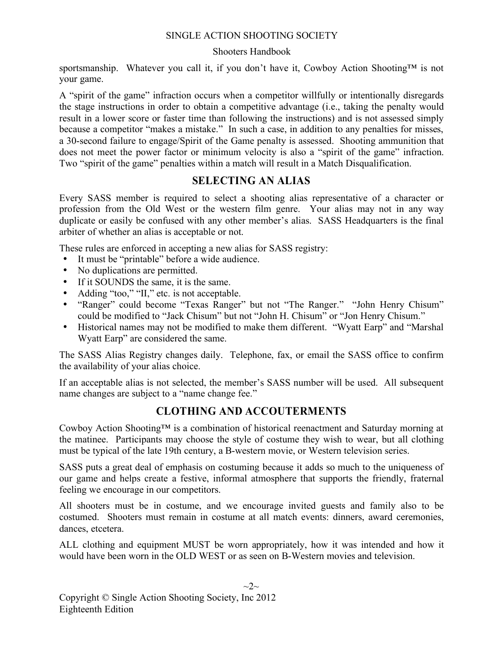#### Shooters Handbook

sportsmanship. Whatever you call it, if you don't have it, Cowboy Action Shooting™ is not your game.

A "spirit of the game" infraction occurs when a competitor willfully or intentionally disregards the stage instructions in order to obtain a competitive advantage (i.e., taking the penalty would result in a lower score or faster time than following the instructions) and is not assessed simply because a competitor "makes a mistake." In such a case, in addition to any penalties for misses, a 30-second failure to engage/Spirit of the Game penalty is assessed. Shooting ammunition that does not meet the power factor or minimum velocity is also a "spirit of the game" infraction. Two "spirit of the game" penalties within a match will result in a Match Disqualification.

## **SELECTING AN ALIAS**

Every SASS member is required to select a shooting alias representative of a character or profession from the Old West or the western film genre. Your alias may not in any way duplicate or easily be confused with any other member's alias. SASS Headquarters is the final arbiter of whether an alias is acceptable or not.

These rules are enforced in accepting a new alias for SASS registry:

- It must be "printable" before a wide audience.
- No duplications are permitted.
- If it SOUNDS the same, it is the same.
- Adding "too," "II," etc. is not acceptable.
- "Ranger" could become "Texas Ranger" but not "The Ranger." "John Henry Chisum" could be modified to "Jack Chisum" but not "John H. Chisum" or "Jon Henry Chisum."
- Historical names may not be modified to make them different. "Wyatt Earp" and "Marshal Wyatt Earp" are considered the same.

The SASS Alias Registry changes daily. Telephone, fax, or email the SASS office to confirm the availability of your alias choice.

If an acceptable alias is not selected, the member's SASS number will be used. All subsequent name changes are subject to a "name change fee."

## **CLOTHING AND ACCOUTERMENTS**

Cowboy Action Shooting™ is a combination of historical reenactment and Saturday morning at the matinee. Participants may choose the style of costume they wish to wear, but all clothing must be typical of the late 19th century, a B-western movie, or Western television series.

SASS puts a great deal of emphasis on costuming because it adds so much to the uniqueness of our game and helps create a festive, informal atmosphere that supports the friendly, fraternal feeling we encourage in our competitors.

All shooters must be in costume, and we encourage invited guests and family also to be costumed. Shooters must remain in costume at all match events: dinners, award ceremonies, dances, etcetera.

ALL clothing and equipment MUST be worn appropriately, how it was intended and how it would have been worn in the OLD WEST or as seen on B-Western movies and television.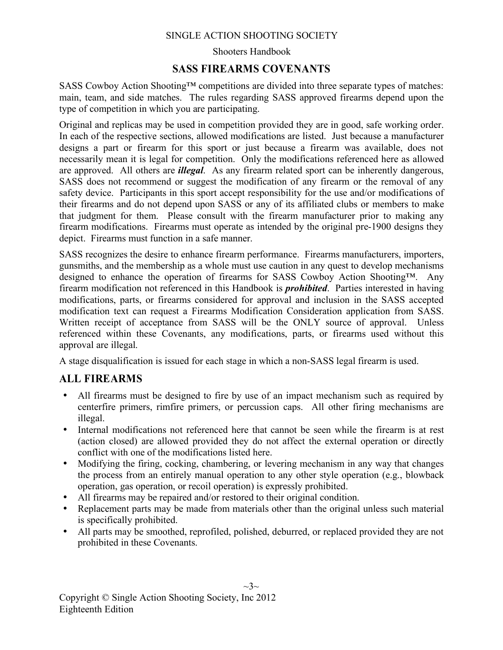#### Shooters Handbook

## **SASS FIREARMS COVENANTS**

SASS Cowboy Action Shooting™ competitions are divided into three separate types of matches: main, team, and side matches. The rules regarding SASS approved firearms depend upon the type of competition in which you are participating.

Original and replicas may be used in competition provided they are in good, safe working order. In each of the respective sections, allowed modifications are listed. Just because a manufacturer designs a part or firearm for this sport or just because a firearm was available, does not necessarily mean it is legal for competition. Only the modifications referenced here as allowed are approved. All others are *illegal*. As any firearm related sport can be inherently dangerous, SASS does not recommend or suggest the modification of any firearm or the removal of any safety device. Participants in this sport accept responsibility for the use and/or modifications of their firearms and do not depend upon SASS or any of its affiliated clubs or members to make that judgment for them. Please consult with the firearm manufacturer prior to making any firearm modifications. Firearms must operate as intended by the original pre-1900 designs they depict. Firearms must function in a safe manner.

SASS recognizes the desire to enhance firearm performance. Firearms manufacturers, importers, gunsmiths, and the membership as a whole must use caution in any quest to develop mechanisms designed to enhance the operation of firearms for SASS Cowboy Action Shooting™. Any firearm modification not referenced in this Handbook is *prohibited*. Parties interested in having modifications, parts, or firearms considered for approval and inclusion in the SASS accepted modification text can request a Firearms Modification Consideration application from SASS. Written receipt of acceptance from SASS will be the ONLY source of approval. Unless referenced within these Covenants, any modifications, parts, or firearms used without this approval are illegal.

A stage disqualification is issued for each stage in which a non-SASS legal firearm is used.

## **ALL FIREARMS**

- All firearms must be designed to fire by use of an impact mechanism such as required by centerfire primers, rimfire primers, or percussion caps. All other firing mechanisms are illegal.
- Internal modifications not referenced here that cannot be seen while the firearm is at rest (action closed) are allowed provided they do not affect the external operation or directly conflict with one of the modifications listed here.
- Modifying the firing, cocking, chambering, or levering mechanism in any way that changes the process from an entirely manual operation to any other style operation (e.g., blowback operation, gas operation, or recoil operation) is expressly prohibited.
- All firearms may be repaired and/or restored to their original condition.
- Replacement parts may be made from materials other than the original unless such material is specifically prohibited.
- All parts may be smoothed, reprofiled, polished, deburred, or replaced provided they are not prohibited in these Covenants.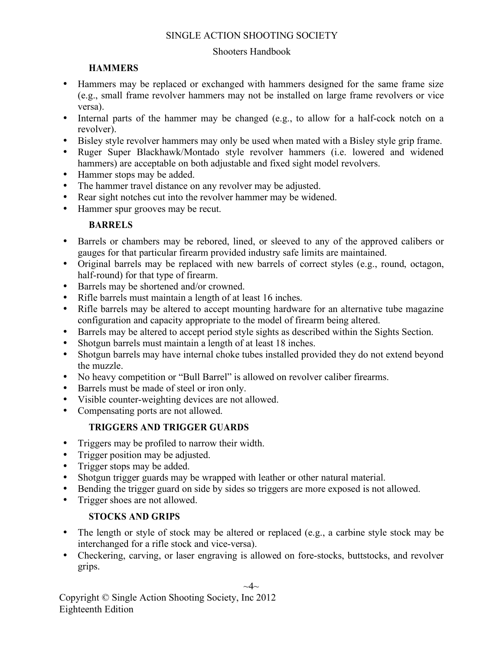#### Shooters Handbook

## **HAMMERS**

- Hammers may be replaced or exchanged with hammers designed for the same frame size (e.g., small frame revolver hammers may not be installed on large frame revolvers or vice versa).
- Internal parts of the hammer may be changed (e.g., to allow for a half-cock notch on a revolver).
- Bisley style revolver hammers may only be used when mated with a Bisley style grip frame.
- Ruger Super Blackhawk/Montado style revolver hammers (i.e. lowered and widened hammers) are acceptable on both adjustable and fixed sight model revolvers.
- Hammer stops may be added.
- The hammer travel distance on any revolver may be adjusted.
- Rear sight notches cut into the revolver hammer may be widened.
- Hammer spur grooves may be recut.

## **BARRELS**

- Barrels or chambers may be rebored, lined, or sleeved to any of the approved calibers or gauges for that particular firearm provided industry safe limits are maintained.
- Original barrels may be replaced with new barrels of correct styles (e.g., round, octagon, half-round) for that type of firearm.
- Barrels may be shortened and/or crowned.
- Rifle barrels must maintain a length of at least 16 inches.
- Rifle barrels may be altered to accept mounting hardware for an alternative tube magazine configuration and capacity appropriate to the model of firearm being altered.
- Barrels may be altered to accept period style sights as described within the Sights Section.<br>• Shotoun barrels must maintain a length of at least 18 inches
- Shotgun barrels must maintain a length of at least 18 inches.
- Shotgun barrels may have internal choke tubes installed provided they do not extend beyond the muzzle.
- No heavy competition or "Bull Barrel" is allowed on revolver caliber firearms.
- Barrels must be made of steel or iron only.
- Visible counter-weighting devices are not allowed.
- Compensating ports are not allowed.

## **TRIGGERS AND TRIGGER GUARDS**

- Triggers may be profiled to narrow their width.
- Trigger position may be adjusted.
- Trigger stops may be added.
- Shotgun trigger guards may be wrapped with leather or other natural material.
- Bending the trigger guard on side by sides so triggers are more exposed is not allowed.
- Trigger shoes are not allowed.

## **STOCKS AND GRIPS**

- The length or style of stock may be altered or replaced (e.g., a carbine style stock may be interchanged for a rifle stock and vice-versa).
- Checkering, carving, or laser engraving is allowed on fore-stocks, buttstocks, and revolver grips.

 $\sim$ 4 $\sim$ 

Copyright © Single Action Shooting Society, Inc 2012 Eighteenth Edition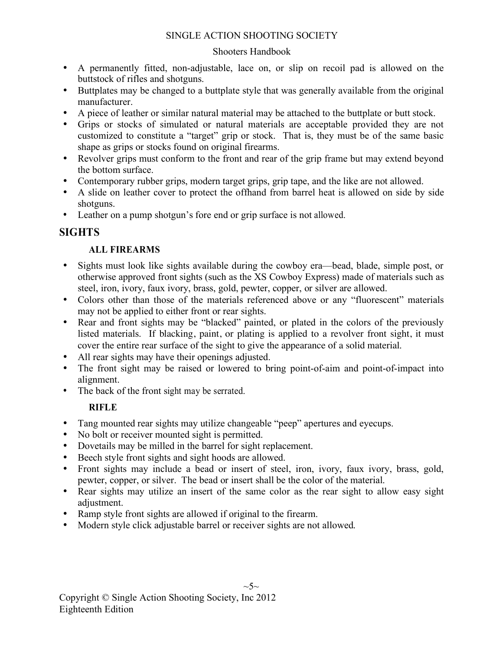#### Shooters Handbook

- A permanently fitted, non-adjustable, lace on, or slip on recoil pad is allowed on the buttstock of rifles and shotguns.
- Buttplates may be changed to a buttplate style that was generally available from the original manufacturer.
- A piece of leather or similar natural material may be attached to the buttplate or butt stock.
- Grips or stocks of simulated or natural materials are acceptable provided they are not customized to constitute a "target" grip or stock. That is, they must be of the same basic shape as grips or stocks found on original firearms.
- Revolver grips must conform to the front and rear of the grip frame but may extend beyond the bottom surface.
- Contemporary rubber grips, modern target grips, grip tape, and the like are not allowed.
- A slide on leather cover to protect the offhand from barrel heat is allowed on side by side shotguns.
- Leather on a pump shotgun's fore end or grip surface is not allowed.

## **SIGHTS**

## **ALL FIREARMS**

- Sights must look like sights available during the cowboy era—bead, blade, simple post, or otherwise approved front sights (such as the XS Cowboy Express) made of materials such as steel, iron, ivory, faux ivory, brass, gold, pewter, copper, or silver are allowed.
- Colors other than those of the materials referenced above or any "fluorescent" materials may not be applied to either front or rear sights.
- Rear and front sights may be "blacked" painted, or plated in the colors of the previously listed materials. If blacking, paint, or plating is applied to a revolver front sight, it must cover the entire rear surface of the sight to give the appearance of a solid material.
- All rear sights may have their openings adjusted.
- The front sight may be raised or lowered to bring point-of-aim and point-of-impact into alignment.
- The back of the front sight may be serrated.

## **RIFLE**

- Tang mounted rear sights may utilize changeable "peep" apertures and eyecups.
- No bolt or receiver mounted sight is permitted.
- Dovetails may be milled in the barrel for sight replacement.
- Beech style front sights and sight hoods are allowed.
- Front sights may include a bead or insert of steel, iron, ivory, faux ivory, brass, gold, pewter, copper, or silver. The bead or insert shall be the color of the material.
- Rear sights may utilize an insert of the same color as the rear sight to allow easy sight adjustment.
- Ramp style front sights are allowed if original to the firearm.
- Modern style click adjustable barrel or receiver sights are not allowed.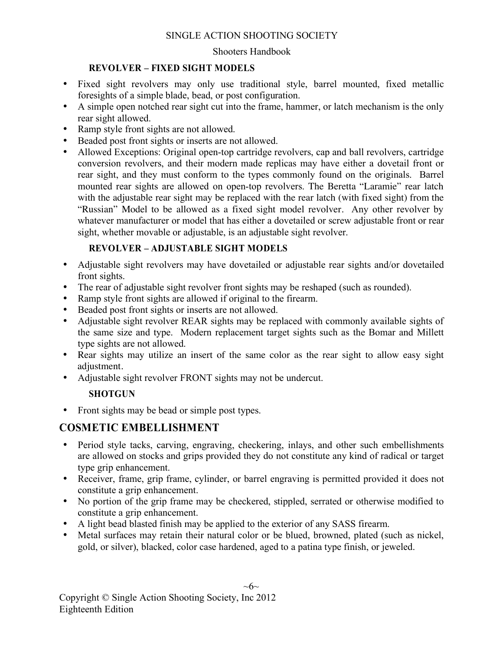#### Shooters Handbook

#### **REVOLVER – FIXED SIGHT MODELS**

- Fixed sight revolvers may only use traditional style, barrel mounted, fixed metallic foresights of a simple blade, bead, or post configuration.
- A simple open notched rear sight cut into the frame, hammer, or latch mechanism is the only rear sight allowed.
- Ramp style front sights are not allowed.
- Beaded post front sights or inserts are not allowed.<br>• Allowed Exceptions: Original open-top cartridge re
- Allowed Exceptions: Original open-top cartridge revolvers, cap and ball revolvers, cartridge conversion revolvers, and their modern made replicas may have either a dovetail front or rear sight, and they must conform to the types commonly found on the originals. Barrel mounted rear sights are allowed on open-top revolvers. The Beretta "Laramie" rear latch with the adjustable rear sight may be replaced with the rear latch (with fixed sight) from the "Russian" Model to be allowed as a fixed sight model revolver. Any other revolver by whatever manufacturer or model that has either a dovetailed or screw adjustable front or rear sight, whether movable or adjustable, is an adjustable sight revolver.

#### **REVOLVER – ADJUSTABLE SIGHT MODELS**

- Adjustable sight revolvers may have dovetailed or adjustable rear sights and/or dovetailed front sights.
- The rear of adjustable sight revolver front sights may be reshaped (such as rounded).<br>• Ramn style front sights are allowed if original to the firearm
- Ramp style front sights are allowed if original to the firearm.
- Beaded post front sights or inserts are not allowed.
- Adjustable sight revolver REAR sights may be replaced with commonly available sights of the same size and type. Modern replacement target sights such as the Bomar and Millett type sights are not allowed.
- Rear sights may utilize an insert of the same color as the rear sight to allow easy sight adjustment.
- Adjustable sight revolver FRONT sights may not be undercut.

## **SHOTGUN**

• Front sights may be bead or simple post types.

## **COSMETIC EMBELLISHMENT**

- Period style tacks, carving, engraving, checkering, inlays, and other such embellishments are allowed on stocks and grips provided they do not constitute any kind of radical or target type grip enhancement.
- Receiver, frame, grip frame, cylinder, or barrel engraving is permitted provided it does not constitute a grip enhancement.
- No portion of the grip frame may be checkered, stippled, serrated or otherwise modified to constitute a grip enhancement.
- A light bead blasted finish may be applied to the exterior of any SASS firearm.
- Metal surfaces may retain their natural color or be blued, browned, plated (such as nickel, gold, or silver), blacked, color case hardened, aged to a patina type finish, or jeweled.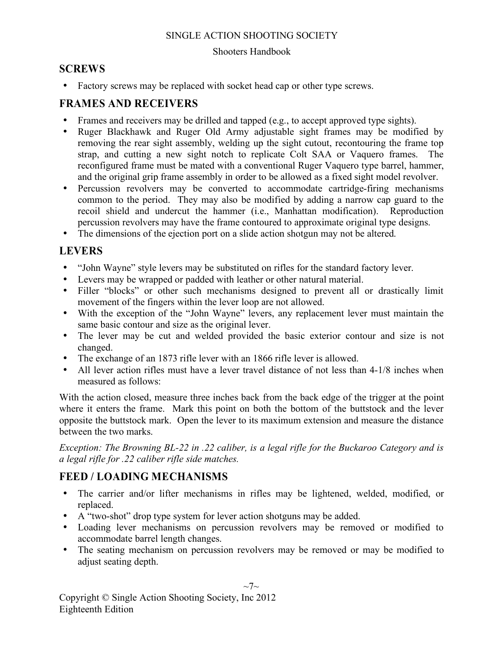#### Shooters Handbook

## **SCREWS**

• Factory screws may be replaced with socket head cap or other type screws.

## **FRAMES AND RECEIVERS**

- Frames and receivers may be drilled and tapped (e.g., to accept approved type sights).
- Ruger Blackhawk and Ruger Old Army adjustable sight frames may be modified by removing the rear sight assembly, welding up the sight cutout, recontouring the frame top strap, and cutting a new sight notch to replicate Colt SAA or Vaquero frames. The reconfigured frame must be mated with a conventional Ruger Vaquero type barrel, hammer, and the original grip frame assembly in order to be allowed as a fixed sight model revolver.
- Percussion revolvers may be converted to accommodate cartridge-firing mechanisms common to the period. They may also be modified by adding a narrow cap guard to the recoil shield and undercut the hammer (i.e., Manhattan modification). Reproduction percussion revolvers may have the frame contoured to approximate original type designs.
- The dimensions of the ejection port on a slide action shotgun may not be altered.

## **LEVERS**

- "John Wayne" style levers may be substituted on rifles for the standard factory lever.
- Levers may be wrapped or padded with leather or other natural material.
- Filler "blocks" or other such mechanisms designed to prevent all or drastically limit movement of the fingers within the lever loop are not allowed.
- With the exception of the "John Wayne" levers, any replacement lever must maintain the same basic contour and size as the original lever.
- The lever may be cut and welded provided the basic exterior contour and size is not changed.
- The exchange of an 1873 rifle lever with an 1866 rifle lever is allowed.
- All lever action rifles must have a lever travel distance of not less than 4-1/8 inches when measured as follows:

With the action closed, measure three inches back from the back edge of the trigger at the point where it enters the frame. Mark this point on both the bottom of the buttstock and the lever opposite the buttstock mark. Open the lever to its maximum extension and measure the distance between the two marks.

*Exception: The Browning BL-22 in .22 caliber, is a legal rifle for the Buckaroo Category and is a legal rifle for .22 caliber rifle side matches.*

## **FEED / LOADING MECHANISMS**

- The carrier and/or lifter mechanisms in rifles may be lightened, welded, modified, or replaced.
- A "two-shot" drop type system for lever action shotguns may be added.
- Loading lever mechanisms on percussion revolvers may be removed or modified to accommodate barrel length changes.
- The seating mechanism on percussion revolvers may be removed or may be modified to adjust seating depth.

 $\sim7\sim$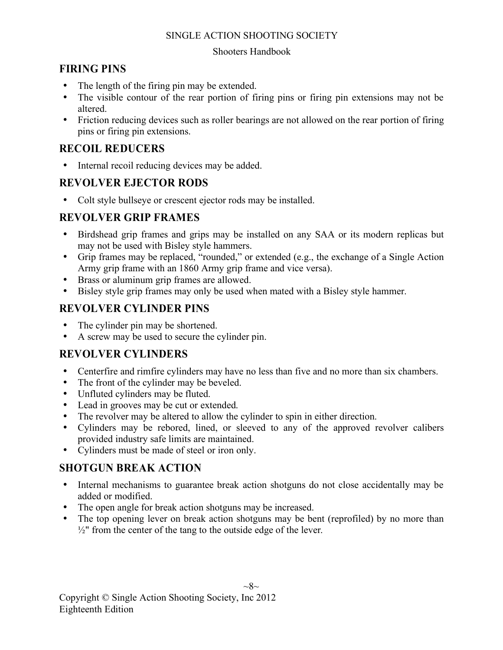#### Shooters Handbook

## **FIRING PINS**

- The length of the firing pin may be extended.
- The visible contour of the rear portion of firing pins or firing pin extensions may not be altered.
- Friction reducing devices such as roller bearings are not allowed on the rear portion of firing pins or firing pin extensions.

## **RECOIL REDUCERS**

• Internal recoil reducing devices may be added.

## **REVOLVER EJECTOR RODS**

• Colt style bullseye or crescent ejector rods may be installed.

## **REVOLVER GRIP FRAMES**

- Birdshead grip frames and grips may be installed on any SAA or its modern replicas but may not be used with Bisley style hammers.
- Grip frames may be replaced, "rounded," or extended (e.g., the exchange of a Single Action Army grip frame with an 1860 Army grip frame and vice versa).
- Brass or aluminum grip frames are allowed.
- Bisley style grip frames may only be used when mated with a Bisley style hammer.

## **REVOLVER CYLINDER PINS**

- The cylinder pin may be shortened.
- A screw may be used to secure the cylinder pin.

## **REVOLVER CYLINDERS**

- Centerfire and rimfire cylinders may have no less than five and no more than six chambers.
- The front of the cylinder may be beveled.
- Unfluted cylinders may be fluted.
- Lead in grooves may be cut or extended.
- The revolver may be altered to allow the cylinder to spin in either direction.
- Cylinders may be rebored, lined, or sleeved to any of the approved revolver calibers provided industry safe limits are maintained.
- Cylinders must be made of steel or iron only.

## **SHOTGUN BREAK ACTION**

- Internal mechanisms to guarantee break action shotguns do not close accidentally may be added or modified.
- The open angle for break action shotguns may be increased.
- The top opening lever on break action shotguns may be bent (reprofiled) by no more than  $\frac{1}{2}$ " from the center of the tang to the outside edge of the lever.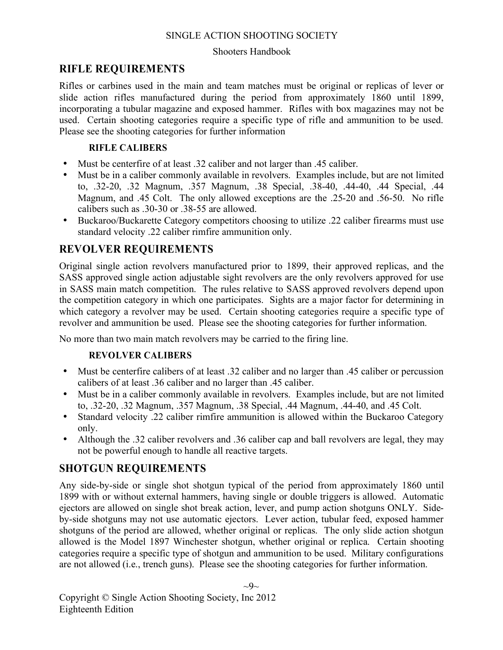#### Shooters Handbook

## **RIFLE REQUIREMENTS**

Rifles or carbines used in the main and team matches must be original or replicas of lever or slide action rifles manufactured during the period from approximately 1860 until 1899, incorporating a tubular magazine and exposed hammer. Rifles with box magazines may not be used. Certain shooting categories require a specific type of rifle and ammunition to be used. Please see the shooting categories for further information

#### **RIFLE CALIBERS**

- Must be centerfire of at least .32 caliber and not larger than .45 caliber.
- Must be in a caliber commonly available in revolvers. Examples include, but are not limited to, .32-20, .32 Magnum, .357 Magnum, .38 Special, .38-40, .44-40, .44 Special, .44 Magnum, and .45 Colt. The only allowed exceptions are the .25-20 and .56-50. No rifle calibers such as .30-30 or .38-55 are allowed.
- Buckaroo/Buckarette Category competitors choosing to utilize .22 caliber firearms must use standard velocity .22 caliber rimfire ammunition only.

## **REVOLVER REQUIREMENTS**

Original single action revolvers manufactured prior to 1899, their approved replicas, and the SASS approved single action adjustable sight revolvers are the only revolvers approved for use in SASS main match competition. The rules relative to SASS approved revolvers depend upon the competition category in which one participates. Sights are a major factor for determining in which category a revolver may be used. Certain shooting categories require a specific type of revolver and ammunition be used. Please see the shooting categories for further information.

No more than two main match revolvers may be carried to the firing line.

#### **REVOLVER CALIBERS**

- Must be centerfire calibers of at least .32 caliber and no larger than .45 caliber or percussion calibers of at least .36 caliber and no larger than .45 caliber.
- Must be in a caliber commonly available in revolvers. Examples include, but are not limited to, .32-20, .32 Magnum, .357 Magnum, .38 Special, .44 Magnum, .44-40, and .45 Colt.
- Standard velocity .22 caliber rimfire ammunition is allowed within the Buckaroo Category only.
- Although the .32 caliber revolvers and .36 caliber cap and ball revolvers are legal, they may not be powerful enough to handle all reactive targets.

## **SHOTGUN REQUIREMENTS**

Any side-by-side or single shot shotgun typical of the period from approximately 1860 until 1899 with or without external hammers, having single or double triggers is allowed. Automatic ejectors are allowed on single shot break action, lever, and pump action shotguns ONLY. Sideby-side shotguns may not use automatic ejectors. Lever action, tubular feed, exposed hammer shotguns of the period are allowed, whether original or replicas. The only slide action shotgun allowed is the Model 1897 Winchester shotgun, whether original or replica. Certain shooting categories require a specific type of shotgun and ammunition to be used. Military configurations are not allowed (i.e., trench guns). Please see the shooting categories for further information.

 $\sim 9$ ~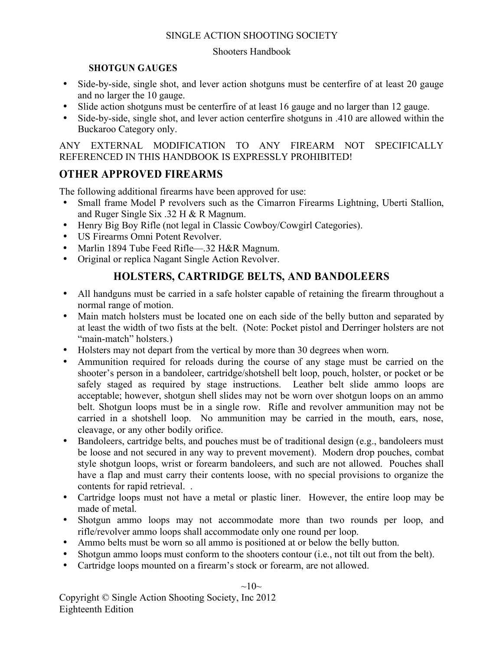#### Shooters Handbook

#### **SHOTGUN GAUGES**

- Side-by-side, single shot, and lever action shotguns must be centerfire of at least 20 gauge and no larger the 10 gauge.
- Slide action shotguns must be centerfire of at least 16 gauge and no larger than 12 gauge.<br>• Side-by-side single shot and lever action centerfire shotguns in 410 are allowed within
- Side-by-side, single shot, and lever action centerfire shotguns in .410 are allowed within the Buckaroo Category only.

ANY EXTERNAL MODIFICATION TO ANY FIREARM NOT SPECIFICALLY REFERENCED IN THIS HANDBOOK IS EXPRESSLY PROHIBITED!

## **OTHER APPROVED FIREARMS**

The following additional firearms have been approved for use:

- Small frame Model P revolvers such as the Cimarron Firearms Lightning, Uberti Stallion, and Ruger Single Six .32 H & R Magnum.
- Henry Big Boy Rifle (not legal in Classic Cowboy/Cowgirl Categories).
- US Firearms Omni Potent Revolver.
- Marlin 1894 Tube Feed Rifle—.32 H&R Magnum.
- Original or replica Nagant Single Action Revolver.

## **HOLSTERS, CARTRIDGE BELTS, AND BANDOLEERS**

- All handguns must be carried in a safe holster capable of retaining the firearm throughout a normal range of motion.
- Main match holsters must be located one on each side of the belly button and separated by at least the width of two fists at the belt. (Note: Pocket pistol and Derringer holsters are not "main-match" holsters.)
- Holsters may not depart from the vertical by more than 30 degrees when worn.
- Ammunition required for reloads during the course of any stage must be carried on the shooter's person in a bandoleer, cartridge/shotshell belt loop, pouch, holster, or pocket or be safely staged as required by stage instructions. Leather belt slide ammo loops are acceptable; however, shotgun shell slides may not be worn over shotgun loops on an ammo belt. Shotgun loops must be in a single row. Rifle and revolver ammunition may not be carried in a shotshell loop. No ammunition may be carried in the mouth, ears, nose, cleavage, or any other bodily orifice.
- Bandoleers, cartridge belts, and pouches must be of traditional design (e.g., bandoleers must be loose and not secured in any way to prevent movement). Modern drop pouches, combat style shotgun loops, wrist or forearm bandoleers, and such are not allowed. Pouches shall have a flap and must carry their contents loose, with no special provisions to organize the contents for rapid retrieval. .
- Cartridge loops must not have a metal or plastic liner. However, the entire loop may be made of metal.
- Shotgun ammo loops may not accommodate more than two rounds per loop, and rifle/revolver ammo loops shall accommodate only one round per loop.
- Ammo belts must be worn so all ammo is positioned at or below the belly button.
- Shotgun ammo loops must conform to the shooters contour (i.e., not tilt out from the belt).
- Cartridge loops mounted on a firearm's stock or forearm, are not allowed.

 $\sim 10\sim$ 

Copyright © Single Action Shooting Society, Inc 2012 Eighteenth Edition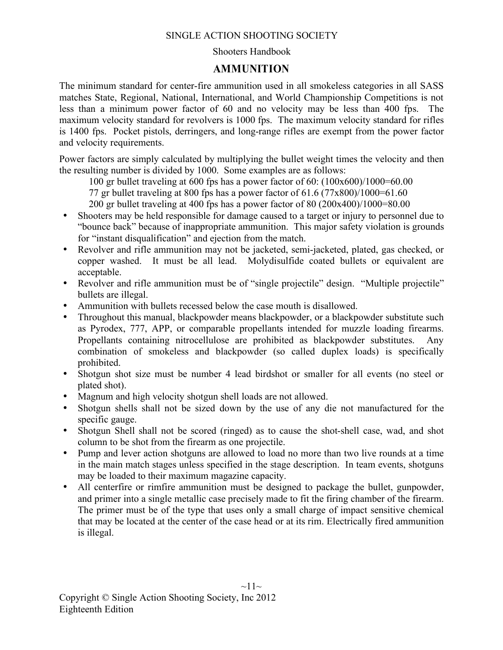#### Shooters Handbook

## **AMMUNITION**

The minimum standard for center-fire ammunition used in all smokeless categories in all SASS matches State, Regional, National, International, and World Championship Competitions is not less than a minimum power factor of 60 and no velocity may be less than 400 fps. The maximum velocity standard for revolvers is 1000 fps. The maximum velocity standard for rifles is 1400 fps. Pocket pistols, derringers, and long-range rifles are exempt from the power factor and velocity requirements.

Power factors are simply calculated by multiplying the bullet weight times the velocity and then the resulting number is divided by 1000. Some examples are as follows:

100 gr bullet traveling at 600 fps has a power factor of 60: (100x600)/1000=60.00

77 gr bullet traveling at 800 fps has a power factor of 61.6 (77x800)/1000=61.60

200 gr bullet traveling at 400 fps has a power factor of 80 (200x400)/1000=80.00

- Shooters may be held responsible for damage caused to a target or injury to personnel due to "bounce back" because of inappropriate ammunition. This major safety violation is grounds for "instant disqualification" and ejection from the match.
- Revolver and rifle ammunition may not be jacketed, semi-jacketed, plated, gas checked, or copper washed. It must be all lead. Molydisulfide coated bullets or equivalent are acceptable.
- Revolver and rifle ammunition must be of "single projectile" design. "Multiple projectile" bullets are illegal.
- Ammunition with bullets recessed below the case mouth is disallowed.
- Throughout this manual, blackpowder means blackpowder, or a blackpowder substitute such as Pyrodex, 777, APP, or comparable propellants intended for muzzle loading firearms. Propellants containing nitrocellulose are prohibited as blackpowder substitutes. Any combination of smokeless and blackpowder (so called duplex loads) is specifically prohibited.
- Shotgun shot size must be number 4 lead birdshot or smaller for all events (no steel or plated shot).
- Magnum and high velocity shotgun shell loads are not allowed.
- Shotgun shells shall not be sized down by the use of any die not manufactured for the specific gauge.
- Shotgun Shell shall not be scored (ringed) as to cause the shot-shell case, wad, and shot column to be shot from the firearm as one projectile.
- Pump and lever action shotguns are allowed to load no more than two live rounds at a time in the main match stages unless specified in the stage description. In team events, shotguns may be loaded to their maximum magazine capacity.
- All centerfire or rimfire ammunition must be designed to package the bullet, gunpowder, and primer into a single metallic case precisely made to fit the firing chamber of the firearm. The primer must be of the type that uses only a small charge of impact sensitive chemical that may be located at the center of the case head or at its rim. Electrically fired ammunition is illegal.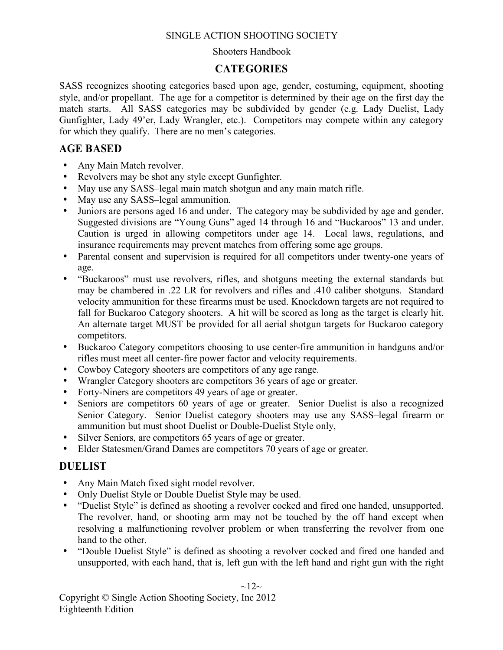#### Shooters Handbook

## **CATEGORIES**

SASS recognizes shooting categories based upon age, gender, costuming, equipment, shooting style, and/or propellant. The age for a competitor is determined by their age on the first day the match starts. All SASS categories may be subdivided by gender (e.g. Lady Duelist, Lady Gunfighter, Lady 49'er, Lady Wrangler, etc.). Competitors may compete within any category for which they qualify. There are no men's categories.

## **AGE BASED**

- Any Main Match revolver.
- Revolvers may be shot any style except Gunfighter.<br>• May use any SASS-legal main match shotgun and a
- May use any SASS–legal main match shotgun and any main match rifle.
- May use any SASS–legal ammunition.
- Juniors are persons aged 16 and under. The category may be subdivided by age and gender. Suggested divisions are "Young Guns" aged 14 through 16 and "Buckaroos" 13 and under. Caution is urged in allowing competitors under age 14. Local laws, regulations, and insurance requirements may prevent matches from offering some age groups.
- Parental consent and supervision is required for all competitors under twenty-one years of age.
- "Buckaroos" must use revolvers, rifles, and shotguns meeting the external standards but may be chambered in .22 LR for revolvers and rifles and .410 caliber shotguns. Standard velocity ammunition for these firearms must be used. Knockdown targets are not required to fall for Buckaroo Category shooters. A hit will be scored as long as the target is clearly hit. An alternate target MUST be provided for all aerial shotgun targets for Buckaroo category competitors.
- Buckaroo Category competitors choosing to use center-fire ammunition in handguns and/or rifles must meet all center-fire power factor and velocity requirements.
- Cowboy Category shooters are competitors of any age range.
- Wrangler Category shooters are competitors 36 years of age or greater.
- Forty-Niners are competitors 49 years of age or greater.
- Seniors are competitors 60 years of age or greater. Senior Duelist is also a recognized Senior Category. Senior Duelist category shooters may use any SASS–legal firearm or ammunition but must shoot Duelist or Double-Duelist Style only,
- Silver Seniors, are competitors 65 years of age or greater.
- Elder Statesmen/Grand Dames are competitors 70 years of age or greater.

## **DUELIST**

- Any Main Match fixed sight model revolver.
- Only Duelist Style or Double Duelist Style may be used.
- "Duelist Style" is defined as shooting a revolver cocked and fired one handed, unsupported. The revolver, hand, or shooting arm may not be touched by the off hand except when resolving a malfunctioning revolver problem or when transferring the revolver from one hand to the other.
- "Double Duelist Style" is defined as shooting a revolver cocked and fired one handed and unsupported, with each hand, that is, left gun with the left hand and right gun with the right

#### $\sim$ 12 $\sim$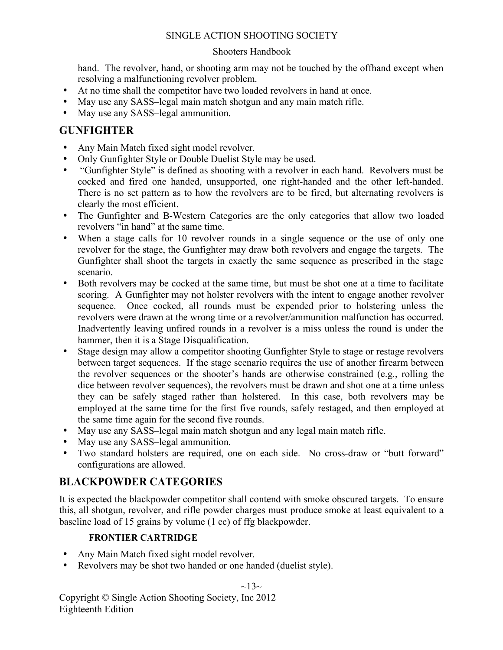#### Shooters Handbook

hand. The revolver, hand, or shooting arm may not be touched by the offhand except when resolving a malfunctioning revolver problem.

- At no time shall the competitor have two loaded revolvers in hand at once.
- May use any SASS–legal main match shotgun and any main match rifle.
- May use any SASS–legal ammunition.

## **GUNFIGHTER**

- Any Main Match fixed sight model revolver.
- Only Gunfighter Style or Double Duelist Style may be used.
- "Gunfighter Style" is defined as shooting with a revolver in each hand. Revolvers must be cocked and fired one handed, unsupported, one right-handed and the other left-handed. There is no set pattern as to how the revolvers are to be fired, but alternating revolvers is clearly the most efficient.
- The Gunfighter and B-Western Categories are the only categories that allow two loaded revolvers "in hand" at the same time.
- When a stage calls for 10 revolver rounds in a single sequence or the use of only one revolver for the stage, the Gunfighter may draw both revolvers and engage the targets. The Gunfighter shall shoot the targets in exactly the same sequence as prescribed in the stage scenario.
- Both revolvers may be cocked at the same time, but must be shot one at a time to facilitate scoring. A Gunfighter may not holster revolvers with the intent to engage another revolver sequence. Once cocked, all rounds must be expended prior to holstering unless the revolvers were drawn at the wrong time or a revolver/ammunition malfunction has occurred. Inadvertently leaving unfired rounds in a revolver is a miss unless the round is under the hammer, then it is a Stage Disqualification.
- Stage design may allow a competitor shooting Gunfighter Style to stage or restage revolvers between target sequences. If the stage scenario requires the use of another firearm between the revolver sequences or the shooter's hands are otherwise constrained (e.g., rolling the dice between revolver sequences), the revolvers must be drawn and shot one at a time unless they can be safely staged rather than holstered. In this case, both revolvers may be employed at the same time for the first five rounds, safely restaged, and then employed at the same time again for the second five rounds.
- May use any SASS–legal main match shotgun and any legal main match rifle.
- May use any SASS–legal ammunition.
- Two standard holsters are required, one on each side. No cross-draw or "butt forward" configurations are allowed.

## **BLACKPOWDER CATEGORIES**

It is expected the blackpowder competitor shall contend with smoke obscured targets. To ensure this, all shotgun, revolver, and rifle powder charges must produce smoke at least equivalent to a baseline load of 15 grains by volume (1 cc) of ffg blackpowder.

## **FRONTIER CARTRIDGE**

- Any Main Match fixed sight model revolver.
- Revolvers may be shot two handed or one handed (duelist style).

#### $\sim$ 13 $\sim$

Copyright © Single Action Shooting Society, Inc 2012 Eighteenth Edition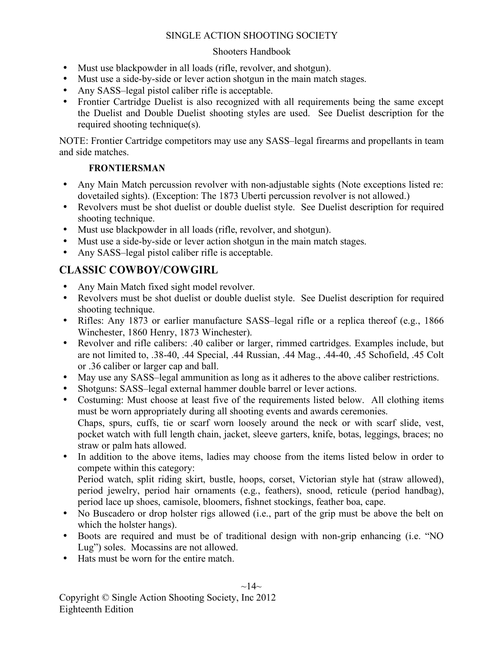#### Shooters Handbook

- Must use blackpowder in all loads (rifle, revolver, and shotgun).
- Must use a side-by-side or lever action shotgun in the main match stages.
- Any SASS-legal pistol caliber rifle is acceptable.
- Frontier Cartridge Duelist is also recognized with all requirements being the same except the Duelist and Double Duelist shooting styles are used. See Duelist description for the required shooting technique(s).

NOTE: Frontier Cartridge competitors may use any SASS–legal firearms and propellants in team and side matches.

#### **FRONTIERSMAN**

- Any Main Match percussion revolver with non-adjustable sights (Note exceptions listed re: dovetailed sights). (Exception: The 1873 Uberti percussion revolver is not allowed.)
- Revolvers must be shot duelist or double duelist style. See Duelist description for required shooting technique.
- Must use blackpowder in all loads (rifle, revolver, and shotgun).
- Must use a side-by-side or lever action shotgun in the main match stages.
- Any SASS–legal pistol caliber rifle is acceptable.

## **CLASSIC COWBOY/COWGIRL**

- Any Main Match fixed sight model revolver.
- Revolvers must be shot duelist or double duelist style. See Duelist description for required shooting technique.
- Rifles: Any 1873 or earlier manufacture SASS-legal rifle or a replica thereof (e.g., 1866) Winchester, 1860 Henry, 1873 Winchester).
- Revolver and rifle calibers: .40 caliber or larger, rimmed cartridges. Examples include, but are not limited to, .38-40, .44 Special, .44 Russian, .44 Mag., .44-40, .45 Schofield, .45 Colt or .36 caliber or larger cap and ball.
- May use any SASS–legal ammunition as long as it adheres to the above caliber restrictions.
- Shotguns: SASS–legal external hammer double barrel or lever actions.
- Costuming: Must choose at least five of the requirements listed below. All clothing items must be worn appropriately during all shooting events and awards ceremonies. Chaps, spurs, cuffs, tie or scarf worn loosely around the neck or with scarf slide, vest, pocket watch with full length chain, jacket, sleeve garters, knife, botas, leggings, braces; no straw or palm hats allowed.
- In addition to the above items, ladies may choose from the items listed below in order to compete within this category: Period watch, split riding skirt, bustle, hoops, corset, Victorian style hat (straw allowed), period jewelry, period hair ornaments (e.g., feathers), snood, reticule (period handbag), period lace up shoes, camisole, bloomers, fishnet stockings, feather boa, cape.
- No Buscadero or drop holster rigs allowed (i.e., part of the grip must be above the belt on which the holster hangs).
- Boots are required and must be of traditional design with non-grip enhancing (i.e. "NO Lug") soles. Mocassins are not allowed.
- Hats must be worn for the entire match.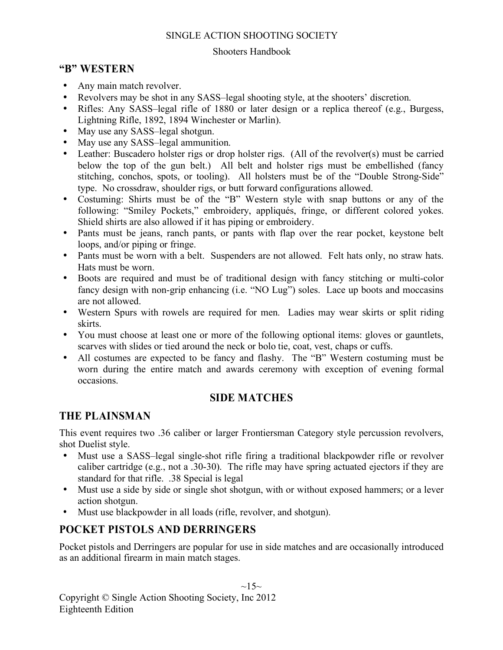#### Shooters Handbook

## **"B" WESTERN**

- Any main match revolver.
- Revolvers may be shot in any SASS–legal shooting style, at the shooters' discretion.
- Rifles: Any SASS–legal rifle of 1880 or later design or a replica thereof (e.g., Burgess, Lightning Rifle, 1892, 1894 Winchester or Marlin).
- May use any SASS-legal shotgun.
- May use any SASS-legal ammunition.
- Leather: Buscadero holster rigs or drop holster rigs. (All of the revolver(s) must be carried below the top of the gun belt.) All belt and holster rigs must be embellished (fancy stitching, conchos, spots, or tooling). All holsters must be of the "Double Strong-Side" type. No crossdraw, shoulder rigs, or butt forward configurations allowed.
- Costuming: Shirts must be of the "B" Western style with snap buttons or any of the following: "Smiley Pockets," embroidery, appliqués, fringe, or different colored yokes. Shield shirts are also allowed if it has piping or embroidery.
- Pants must be jeans, ranch pants, or pants with flap over the rear pocket, keystone belt loops, and/or piping or fringe.
- Pants must be worn with a belt. Suspenders are not allowed. Felt hats only, no straw hats. Hats must be worn.
- Boots are required and must be of traditional design with fancy stitching or multi-color fancy design with non-grip enhancing (i.e. "NO Lug") soles. Lace up boots and moccasins are not allowed.
- Western Spurs with rowels are required for men. Ladies may wear skirts or split riding skirts.
- You must choose at least one or more of the following optional items: gloves or gauntlets, scarves with slides or tied around the neck or bolo tie, coat, vest, chaps or cuffs.
- All costumes are expected to be fancy and flashy. The "B" Western costuming must be worn during the entire match and awards ceremony with exception of evening formal occasions.

## **SIDE MATCHES**

## **THE PLAINSMAN**

This event requires two .36 caliber or larger Frontiersman Category style percussion revolvers, shot Duelist style.

- Must use a SASS–legal single-shot rifle firing a traditional blackpowder rifle or revolver caliber cartridge (e.g., not a .30-30). The rifle may have spring actuated ejectors if they are standard for that rifle. .38 Special is legal
- Must use a side by side or single shot shotgun, with or without exposed hammers; or a lever action shotgun.
- Must use blackpowder in all loads (rifle, revolver, and shotgun).

## **POCKET PISTOLS AND DERRINGERS**

Pocket pistols and Derringers are popular for use in side matches and are occasionally introduced as an additional firearm in main match stages.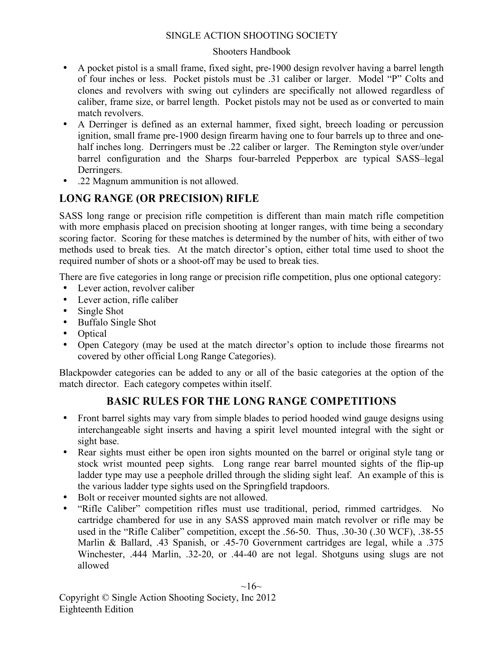#### Shooters Handbook

- A pocket pistol is a small frame, fixed sight, pre-1900 design revolver having a barrel length of four inches or less. Pocket pistols must be .31 caliber or larger. Model "P" Colts and clones and revolvers with swing out cylinders are specifically not allowed regardless of caliber, frame size, or barrel length. Pocket pistols may not be used as or converted to main match revolvers.
- A Derringer is defined as an external hammer, fixed sight, breech loading or percussion ignition, small frame pre-1900 design firearm having one to four barrels up to three and onehalf inches long. Derringers must be .22 caliber or larger. The Remington style over/under barrel configuration and the Sharps four-barreled Pepperbox are typical SASS–legal Derringers.
- .22 Magnum ammunition is not allowed.

## **LONG RANGE (OR PRECISION) RIFLE**

SASS long range or precision rifle competition is different than main match rifle competition with more emphasis placed on precision shooting at longer ranges, with time being a secondary scoring factor. Scoring for these matches is determined by the number of hits, with either of two methods used to break ties. At the match director's option, either total time used to shoot the required number of shots or a shoot-off may be used to break ties.

There are five categories in long range or precision rifle competition, plus one optional category:

- Lever action, revolver caliber
- Lever action, rifle caliber
- Single Shot
- Buffalo Single Shot
- Optical
- Open Category (may be used at the match director's option to include those firearms not covered by other official Long Range Categories).

Blackpowder categories can be added to any or all of the basic categories at the option of the match director. Each category competes within itself.

## **BASIC RULES FOR THE LONG RANGE COMPETITIONS**

- Front barrel sights may vary from simple blades to period hooded wind gauge designs using interchangeable sight inserts and having a spirit level mounted integral with the sight or sight base.
- Rear sights must either be open iron sights mounted on the barrel or original style tang or stock wrist mounted peep sights. Long range rear barrel mounted sights of the flip-up ladder type may use a peephole drilled through the sliding sight leaf. An example of this is the various ladder type sights used on the Springfield trapdoors.
- Bolt or receiver mounted sights are not allowed.
- "Rifle Caliber" competition rifles must use traditional, period, rimmed cartridges. No cartridge chambered for use in any SASS approved main match revolver or rifle may be used in the "Rifle Caliber" competition, except the .56-50. Thus, .30-30 (.30 WCF), .38-55 Marlin & Ballard, .43 Spanish, or .45-70 Government cartridges are legal, while a .375 Winchester, .444 Marlin, .32-20, or .44-40 are not legal. Shotguns using slugs are not allowed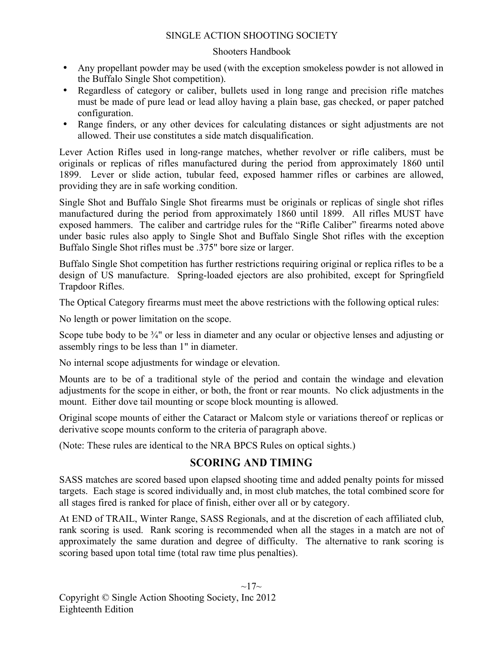#### Shooters Handbook

- Any propellant powder may be used (with the exception smokeless powder is not allowed in the Buffalo Single Shot competition).
- Regardless of category or caliber, bullets used in long range and precision rifle matches must be made of pure lead or lead alloy having a plain base, gas checked, or paper patched configuration.
- Range finders, or any other devices for calculating distances or sight adjustments are not allowed. Their use constitutes a side match disqualification.

Lever Action Rifles used in long-range matches, whether revolver or rifle calibers, must be originals or replicas of rifles manufactured during the period from approximately 1860 until 1899. Lever or slide action, tubular feed, exposed hammer rifles or carbines are allowed, providing they are in safe working condition.

Single Shot and Buffalo Single Shot firearms must be originals or replicas of single shot rifles manufactured during the period from approximately 1860 until 1899. All rifles MUST have exposed hammers. The caliber and cartridge rules for the "Rifle Caliber" firearms noted above under basic rules also apply to Single Shot and Buffalo Single Shot rifles with the exception Buffalo Single Shot rifles must be .375" bore size or larger.

Buffalo Single Shot competition has further restrictions requiring original or replica rifles to be a design of US manufacture. Spring-loaded ejectors are also prohibited, except for Springfield Trapdoor Rifles.

The Optical Category firearms must meet the above restrictions with the following optical rules:

No length or power limitation on the scope.

Scope tube body to be  $\frac{3}{4}$ " or less in diameter and any ocular or objective lenses and adjusting or assembly rings to be less than 1" in diameter.

No internal scope adjustments for windage or elevation.

Mounts are to be of a traditional style of the period and contain the windage and elevation adjustments for the scope in either, or both, the front or rear mounts. No click adjustments in the mount. Either dove tail mounting or scope block mounting is allowed.

Original scope mounts of either the Cataract or Malcom style or variations thereof or replicas or derivative scope mounts conform to the criteria of paragraph above.

(Note: These rules are identical to the NRA BPCS Rules on optical sights.)

## **SCORING AND TIMING**

SASS matches are scored based upon elapsed shooting time and added penalty points for missed targets. Each stage is scored individually and, in most club matches, the total combined score for all stages fired is ranked for place of finish, either over all or by category.

At END of TRAIL, Winter Range, SASS Regionals, and at the discretion of each affiliated club, rank scoring is used. Rank scoring is recommended when all the stages in a match are not of approximately the same duration and degree of difficulty. The alternative to rank scoring is scoring based upon total time (total raw time plus penalties).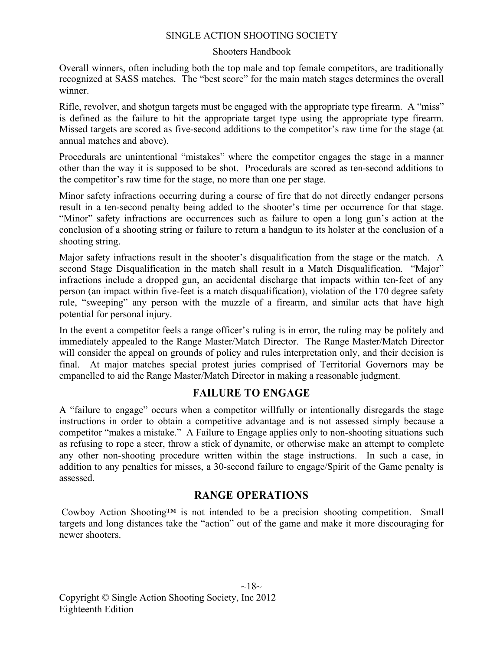#### Shooters Handbook

Overall winners, often including both the top male and top female competitors, are traditionally recognized at SASS matches. The "best score" for the main match stages determines the overall winner.

Rifle, revolver, and shotgun targets must be engaged with the appropriate type firearm. A "miss" is defined as the failure to hit the appropriate target type using the appropriate type firearm. Missed targets are scored as five-second additions to the competitor's raw time for the stage (at annual matches and above).

Procedurals are unintentional "mistakes" where the competitor engages the stage in a manner other than the way it is supposed to be shot. Procedurals are scored as ten-second additions to the competitor's raw time for the stage, no more than one per stage.

Minor safety infractions occurring during a course of fire that do not directly endanger persons result in a ten-second penalty being added to the shooter's time per occurrence for that stage. "Minor" safety infractions are occurrences such as failure to open a long gun's action at the conclusion of a shooting string or failure to return a handgun to its holster at the conclusion of a shooting string.

Major safety infractions result in the shooter's disqualification from the stage or the match. A second Stage Disqualification in the match shall result in a Match Disqualification. "Major" infractions include a dropped gun, an accidental discharge that impacts within ten-feet of any person (an impact within five-feet is a match disqualification), violation of the 170 degree safety rule, "sweeping" any person with the muzzle of a firearm, and similar acts that have high potential for personal injury.

In the event a competitor feels a range officer's ruling is in error, the ruling may be politely and immediately appealed to the Range Master/Match Director. The Range Master/Match Director will consider the appeal on grounds of policy and rules interpretation only, and their decision is final. At major matches special protest juries comprised of Territorial Governors may be empanelled to aid the Range Master/Match Director in making a reasonable judgment.

## **FAILURE TO ENGAGE**

A "failure to engage" occurs when a competitor willfully or intentionally disregards the stage instructions in order to obtain a competitive advantage and is not assessed simply because a competitor "makes a mistake." A Failure to Engage applies only to non-shooting situations such as refusing to rope a steer, throw a stick of dynamite, or otherwise make an attempt to complete any other non-shooting procedure written within the stage instructions. In such a case, in addition to any penalties for misses, a 30-second failure to engage/Spirit of the Game penalty is assessed.

## **RANGE OPERATIONS**

 Cowboy Action Shooting™ is not intended to be a precision shooting competition. Small targets and long distances take the "action" out of the game and make it more discouraging for newer shooters.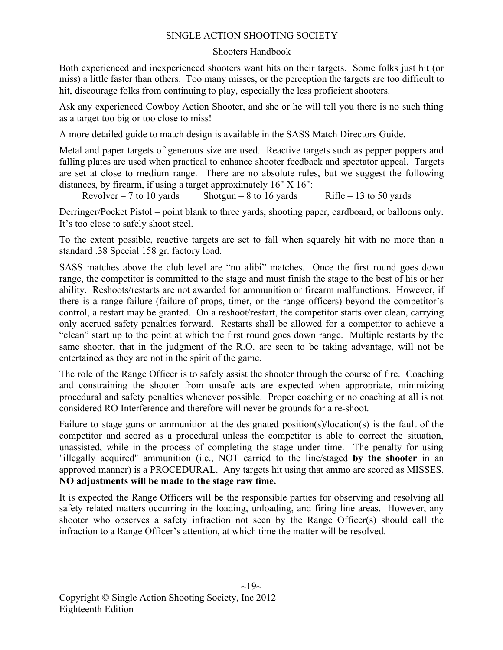#### Shooters Handbook

Both experienced and inexperienced shooters want hits on their targets. Some folks just hit (or miss) a little faster than others. Too many misses, or the perception the targets are too difficult to hit, discourage folks from continuing to play, especially the less proficient shooters.

Ask any experienced Cowboy Action Shooter, and she or he will tell you there is no such thing as a target too big or too close to miss!

A more detailed guide to match design is available in the SASS Match Directors Guide.

Metal and paper targets of generous size are used. Reactive targets such as pepper poppers and falling plates are used when practical to enhance shooter feedback and spectator appeal. Targets are set at close to medium range. There are no absolute rules, but we suggest the following distances, by firearm, if using a target approximately 16" X 16":

Revolver – 7 to 10 yards Shotgun – 8 to 16 yards Rifle – 13 to 50 yards

Derringer/Pocket Pistol – point blank to three yards, shooting paper, cardboard, or balloons only. It's too close to safely shoot steel.

To the extent possible, reactive targets are set to fall when squarely hit with no more than a standard .38 Special 158 gr. factory load.

SASS matches above the club level are "no alibi" matches. Once the first round goes down range, the competitor is committed to the stage and must finish the stage to the best of his or her ability. Reshoots/restarts are not awarded for ammunition or firearm malfunctions. However, if there is a range failure (failure of props, timer, or the range officers) beyond the competitor's control, a restart may be granted. On a reshoot/restart, the competitor starts over clean, carrying only accrued safety penalties forward. Restarts shall be allowed for a competitor to achieve a "clean" start up to the point at which the first round goes down range. Multiple restarts by the same shooter, that in the judgment of the R.O. are seen to be taking advantage, will not be entertained as they are not in the spirit of the game.

The role of the Range Officer is to safely assist the shooter through the course of fire. Coaching and constraining the shooter from unsafe acts are expected when appropriate, minimizing procedural and safety penalties whenever possible. Proper coaching or no coaching at all is not considered RO Interference and therefore will never be grounds for a re-shoot.

Failure to stage guns or ammunition at the designated position(s)/location(s) is the fault of the competitor and scored as a procedural unless the competitor is able to correct the situation, unassisted, while in the process of completing the stage under time. The penalty for using "illegally acquired" ammunition (i.e., NOT carried to the line/staged **by the shooter** in an approved manner) is a PROCEDURAL. Any targets hit using that ammo are scored as MISSES. **NO adjustments will be made to the stage raw time.**

It is expected the Range Officers will be the responsible parties for observing and resolving all safety related matters occurring in the loading, unloading, and firing line areas. However, any shooter who observes a safety infraction not seen by the Range Officer(s) should call the infraction to a Range Officer's attention, at which time the matter will be resolved.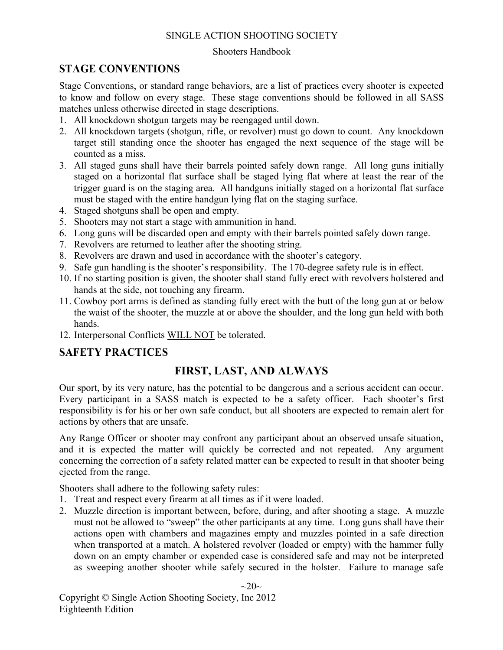#### Shooters Handbook

## **STAGE CONVENTIONS**

Stage Conventions, or standard range behaviors, are a list of practices every shooter is expected to know and follow on every stage. These stage conventions should be followed in all SASS matches unless otherwise directed in stage descriptions.

- 1. All knockdown shotgun targets may be reengaged until down.
- 2. All knockdown targets (shotgun, rifle, or revolver) must go down to count. Any knockdown target still standing once the shooter has engaged the next sequence of the stage will be counted as a miss.
- 3. All staged guns shall have their barrels pointed safely down range. All long guns initially staged on a horizontal flat surface shall be staged lying flat where at least the rear of the trigger guard is on the staging area. All handguns initially staged on a horizontal flat surface must be staged with the entire handgun lying flat on the staging surface.
- 4. Staged shotguns shall be open and empty.
- 5. Shooters may not start a stage with ammunition in hand.
- 6. Long guns will be discarded open and empty with their barrels pointed safely down range.
- 7. Revolvers are returned to leather after the shooting string.
- 8. Revolvers are drawn and used in accordance with the shooter's category.
- 9. Safe gun handling is the shooter's responsibility. The 170-degree safety rule is in effect.
- 10. If no starting position is given, the shooter shall stand fully erect with revolvers holstered and hands at the side, not touching any firearm.
- 11. Cowboy port arms is defined as standing fully erect with the butt of the long gun at or below the waist of the shooter, the muzzle at or above the shoulder, and the long gun held with both hands.
- 12. Interpersonal Conflicts WILL NOT be tolerated.

## **SAFETY PRACTICES**

## **FIRST, LAST, AND ALWAYS**

Our sport, by its very nature, has the potential to be dangerous and a serious accident can occur. Every participant in a SASS match is expected to be a safety officer. Each shooter's first responsibility is for his or her own safe conduct, but all shooters are expected to remain alert for actions by others that are unsafe.

Any Range Officer or shooter may confront any participant about an observed unsafe situation, and it is expected the matter will quickly be corrected and not repeated. Any argument concerning the correction of a safety related matter can be expected to result in that shooter being ejected from the range.

Shooters shall adhere to the following safety rules:

- 1. Treat and respect every firearm at all times as if it were loaded.
- 2. Muzzle direction is important between, before, during, and after shooting a stage. A muzzle must not be allowed to "sweep" the other participants at any time. Long guns shall have their actions open with chambers and magazines empty and muzzles pointed in a safe direction when transported at a match. A holstered revolver (loaded or empty) with the hammer fully down on an empty chamber or expended case is considered safe and may not be interpreted as sweeping another shooter while safely secured in the holster. Failure to manage safe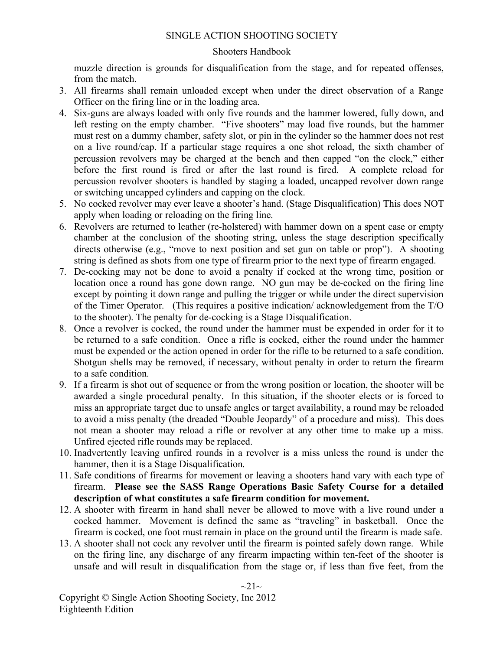#### Shooters Handbook

muzzle direction is grounds for disqualification from the stage, and for repeated offenses, from the match.

- 3. All firearms shall remain unloaded except when under the direct observation of a Range Officer on the firing line or in the loading area.
- 4. Six-guns are always loaded with only five rounds and the hammer lowered, fully down, and left resting on the empty chamber. "Five shooters" may load five rounds, but the hammer must rest on a dummy chamber, safety slot, or pin in the cylinder so the hammer does not rest on a live round/cap. If a particular stage requires a one shot reload, the sixth chamber of percussion revolvers may be charged at the bench and then capped "on the clock," either before the first round is fired or after the last round is fired. A complete reload for percussion revolver shooters is handled by staging a loaded, uncapped revolver down range or switching uncapped cylinders and capping on the clock.
- 5. No cocked revolver may ever leave a shooter's hand. (Stage Disqualification) This does NOT apply when loading or reloading on the firing line.
- 6. Revolvers are returned to leather (re-holstered) with hammer down on a spent case or empty chamber at the conclusion of the shooting string, unless the stage description specifically directs otherwise (e.g., "move to next position and set gun on table or prop"). A shooting string is defined as shots from one type of firearm prior to the next type of firearm engaged.
- 7. De-cocking may not be done to avoid a penalty if cocked at the wrong time, position or location once a round has gone down range. NO gun may be de-cocked on the firing line except by pointing it down range and pulling the trigger or while under the direct supervision of the Timer Operator. (This requires a positive indication/ acknowledgement from the T/O to the shooter). The penalty for de-cocking is a Stage Disqualification.
- 8. Once a revolver is cocked, the round under the hammer must be expended in order for it to be returned to a safe condition. Once a rifle is cocked, either the round under the hammer must be expended or the action opened in order for the rifle to be returned to a safe condition. Shotgun shells may be removed, if necessary, without penalty in order to return the firearm to a safe condition.
- 9. If a firearm is shot out of sequence or from the wrong position or location, the shooter will be awarded a single procedural penalty. In this situation, if the shooter elects or is forced to miss an appropriate target due to unsafe angles or target availability, a round may be reloaded to avoid a miss penalty (the dreaded "Double Jeopardy" of a procedure and miss). This does not mean a shooter may reload a rifle or revolver at any other time to make up a miss. Unfired ejected rifle rounds may be replaced.
- 10. Inadvertently leaving unfired rounds in a revolver is a miss unless the round is under the hammer, then it is a Stage Disqualification.
- 11. Safe conditions of firearms for movement or leaving a shooters hand vary with each type of firearm. **Please see the SASS Range Operations Basic Safety Course for a detailed description of what constitutes a safe firearm condition for movement.**
- 12. A shooter with firearm in hand shall never be allowed to move with a live round under a cocked hammer. Movement is defined the same as "traveling" in basketball. Once the firearm is cocked, one foot must remain in place on the ground until the firearm is made safe.
- 13. A shooter shall not cock any revolver until the firearm is pointed safely down range. While on the firing line, any discharge of any firearm impacting within ten-feet of the shooter is unsafe and will result in disqualification from the stage or, if less than five feet, from the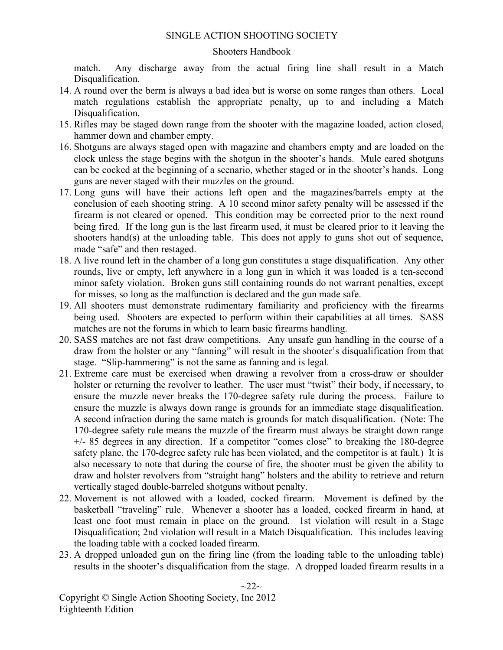#### Shooters Handbook

match. Any discharge away from the actual firing line shall result in a Match Disqualification.

- 14. A round over the berm is always a bad idea but is worse on some ranges than others. Local match regulations establish the appropriate penalty, up to and including a Match Disqualification.
- 15. Rifles may be staged down range from the shooter with the magazine loaded, action closed, hammer down and chamber empty.
- 16. Shotguns are always staged open with magazine and chambers empty and are loaded on the clock unless the stage begins with the shotgun in the shooter's hands. Mule eared shotguns can be cocked at the beginning of a scenario, whether staged or in the shooter's hands. Long guns are never staged with their muzzles on the ground.
- 17. Long guns will have their actions left open and the magazines/barrels empty at the conclusion of each shooting string. A 10 second minor safety penalty will be assessed if the firearm is not cleared or opened. This condition may be corrected prior to the next round being fired. If the long gun is the last firearm used, it must be cleared prior to it leaving the shooters hand(s) at the unloading table. This does not apply to guns shot out of sequence, made "safe" and then restaged.
- 18. A live round left in the chamber of a long gun constitutes a stage disqualification. Any other rounds, live or empty, left anywhere in a long gun in which it was loaded is a ten-second minor safety violation. Broken guns still containing rounds do not warrant penalties, except for misses, so long as the malfunction is declared and the gun made safe.
- 19. All shooters must demonstrate rudimentary familiarity and proficiency with the firearms being used. Shooters are expected to perform within their capabilities at all times. SASS matches are not the forums in which to learn basic firearms handling.
- 20. SASS matches are not fast draw competitions. Any unsafe gun handling in the course of a draw from the holster or any "fanning" will result in the shooter's disqualification from that stage. "Slip-hammering" is not the same as fanning and is legal.
- 21. Extreme care must be exercised when drawing a revolver from a cross-draw or shoulder holster or returning the revolver to leather. The user must "twist" their body, if necessary, to ensure the muzzle never breaks the 170-degree safety rule during the process. Failure to ensure the muzzle is always down range is grounds for an immediate stage disqualification. A second infraction during the same match is grounds for match disqualification. (Note: The 170-degree safety rule means the muzzle of the firearm must always be straight down range +/- 85 degrees in any direction. If a competitor "comes close" to breaking the 180-degree safety plane, the 170-degree safety rule has been violated, and the competitor is at fault.) It is also necessary to note that during the course of fire, the shooter must be given the ability to draw and holster revolvers from "straight hang" holsters and the ability to retrieve and return vertically staged double-barreled shotguns without penalty.
- 22. Movement is not allowed with a loaded, cocked firearm. Movement is defined by the basketball "traveling" rule. Whenever a shooter has a loaded, cocked firearm in hand, at least one foot must remain in place on the ground. 1st violation will result in a Stage Disqualification; 2nd violation will result in a Match Disqualification. This includes leaving the loading table with a cocked loaded firearm.
- 23. A dropped unloaded gun on the firing line (from the loading table to the unloading table) results in the shooter's disqualification from the stage. A dropped loaded firearm results in a

 $\sim$ 22 $\sim$ 

Copyright © Single Action Shooting Society, Inc 2012 Eighteenth Edition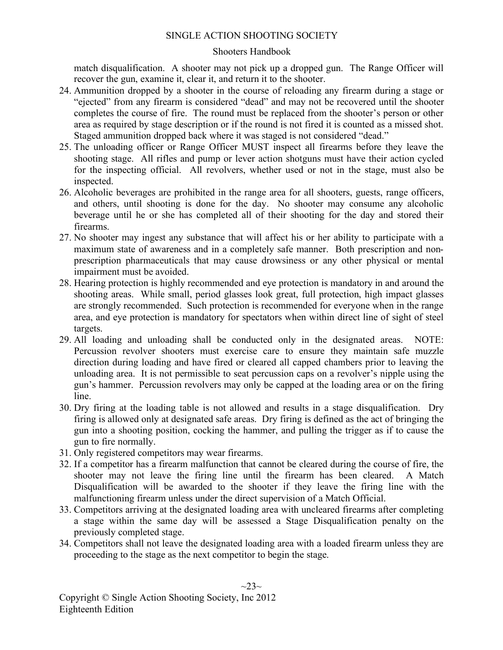#### Shooters Handbook

match disqualification. A shooter may not pick up a dropped gun. The Range Officer will recover the gun, examine it, clear it, and return it to the shooter.

- 24. Ammunition dropped by a shooter in the course of reloading any firearm during a stage or "ejected" from any firearm is considered "dead" and may not be recovered until the shooter completes the course of fire. The round must be replaced from the shooter's person or other area as required by stage description or if the round is not fired it is counted as a missed shot. Staged ammunition dropped back where it was staged is not considered "dead."
- 25. The unloading officer or Range Officer MUST inspect all firearms before they leave the shooting stage. All rifles and pump or lever action shotguns must have their action cycled for the inspecting official. All revolvers, whether used or not in the stage, must also be inspected.
- 26. Alcoholic beverages are prohibited in the range area for all shooters, guests, range officers, and others, until shooting is done for the day. No shooter may consume any alcoholic beverage until he or she has completed all of their shooting for the day and stored their firearms.
- 27. No shooter may ingest any substance that will affect his or her ability to participate with a maximum state of awareness and in a completely safe manner. Both prescription and nonprescription pharmaceuticals that may cause drowsiness or any other physical or mental impairment must be avoided.
- 28. Hearing protection is highly recommended and eye protection is mandatory in and around the shooting areas. While small, period glasses look great, full protection, high impact glasses are strongly recommended. Such protection is recommended for everyone when in the range area, and eye protection is mandatory for spectators when within direct line of sight of steel targets.
- 29. All loading and unloading shall be conducted only in the designated areas. NOTE: Percussion revolver shooters must exercise care to ensure they maintain safe muzzle direction during loading and have fired or cleared all capped chambers prior to leaving the unloading area. It is not permissible to seat percussion caps on a revolver's nipple using the gun's hammer. Percussion revolvers may only be capped at the loading area or on the firing line.
- 30. Dry firing at the loading table is not allowed and results in a stage disqualification. Dry firing is allowed only at designated safe areas. Dry firing is defined as the act of bringing the gun into a shooting position, cocking the hammer, and pulling the trigger as if to cause the gun to fire normally.
- 31. Only registered competitors may wear firearms.
- 32. If a competitor has a firearm malfunction that cannot be cleared during the course of fire, the shooter may not leave the firing line until the firearm has been cleared. A Match Disqualification will be awarded to the shooter if they leave the firing line with the malfunctioning firearm unless under the direct supervision of a Match Official.
- 33. Competitors arriving at the designated loading area with uncleared firearms after completing a stage within the same day will be assessed a Stage Disqualification penalty on the previously completed stage.
- 34. Competitors shall not leave the designated loading area with a loaded firearm unless they are proceeding to the stage as the next competitor to begin the stage.

 $\sim$ 23 $\sim$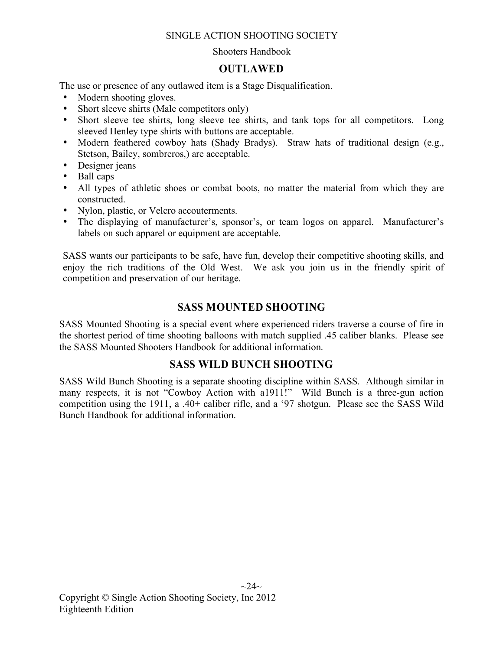#### Shooters Handbook

## **OUTLAWED**

The use or presence of any outlawed item is a Stage Disqualification.

- Modern shooting gloves.
- Short sleeve shirts (Male competitors only)
- Short sleeve tee shirts, long sleeve tee shirts, and tank tops for all competitors. Long sleeved Henley type shirts with buttons are acceptable.
- Modern feathered cowboy hats (Shady Bradys). Straw hats of traditional design (e.g., Stetson, Bailey, sombreros,) are acceptable.
- Designer jeans
- Ball caps
- All types of athletic shoes or combat boots, no matter the material from which they are constructed.
- Nylon, plastic, or Velcro accouterments.
- The displaying of manufacturer's, sponsor's, or team logos on apparel. Manufacturer's labels on such apparel or equipment are acceptable.

SASS wants our participants to be safe, have fun, develop their competitive shooting skills, and enjoy the rich traditions of the Old West. We ask you join us in the friendly spirit of competition and preservation of our heritage.

## **SASS MOUNTED SHOOTING**

SASS Mounted Shooting is a special event where experienced riders traverse a course of fire in the shortest period of time shooting balloons with match supplied .45 caliber blanks. Please see the SASS Mounted Shooters Handbook for additional information.

## **SASS WILD BUNCH SHOOTING**

SASS Wild Bunch Shooting is a separate shooting discipline within SASS. Although similar in many respects, it is not "Cowboy Action with a1911!" Wild Bunch is a three-gun action competition using the 1911, a .40+ caliber rifle, and a '97 shotgun. Please see the SASS Wild Bunch Handbook for additional information.